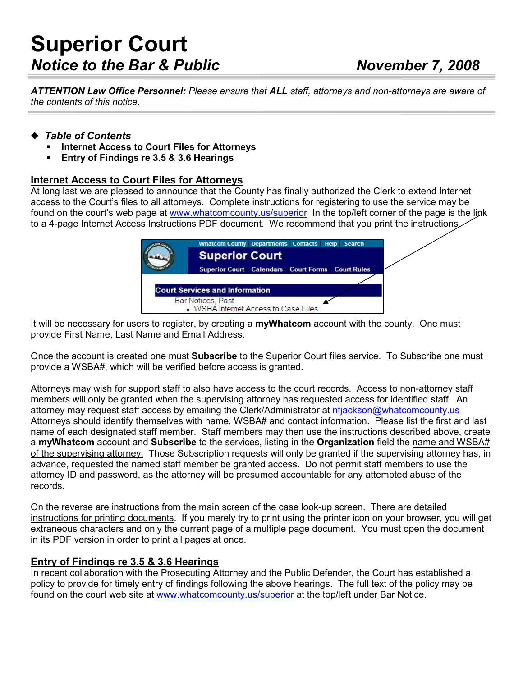# Superior Court Notice to the Bar & Public November 7, 2008

ATTENTION Law Office Personnel: Please ensure that ALL staff, attorneys and non-attorneys are aware of the contents of this notice.

## ◆ Table of Contents

- Internet Access to Court Files for Attorneys
- Entry of Findings re 3.5 & 3.6 Hearings

## Internet Access to Court Files for Attorneys

At long last we are pleased to announce that the County has finally authorized the Clerk to extend Internet access to the Court's files to all attorneys. Complete instructions for registering to use the service may be found on the court's web page at www.whatcomcounty.us/superior In the top/left corner of the page is the link to a 4-page Internet Access Instructions PDF document. We recommend that you print the instructions.

| <b>Superior Court</b><br><b>Superior Court Calendars Court Forms Court Rules</b> | <b>Whatcom County Departments Contacts Help Search</b> |
|----------------------------------------------------------------------------------|--------------------------------------------------------|
|                                                                                  |                                                        |
|                                                                                  |                                                        |
|                                                                                  | <b>Court Services and Information</b>                  |

It will be necessary for users to register, by creating a myWhatcom account with the county. One must provide First Name, Last Name and Email Address.

Once the account is created one must **Subscribe** to the Superior Court files service. To Subscribe one must provide a WSBA#, which will be verified before access is granted.

Attorneys may wish for support staff to also have access to the court records. Access to non-attorney staff members will only be granted when the supervising attorney has requested access for identified staff. An attorney may request staff access by emailing the Clerk/Administrator at nfjackson@whatcomcounty.us Attorneys should identify themselves with name, WSBA# and contact information. Please list the first and last name of each designated staff member. Staff members may then use the instructions described above, create a myWhatcom account and Subscribe to the services, listing in the Organization field the name and WSBA# of the supervising attorney. Those Subscription requests will only be granted if the supervising attorney has, in advance, requested the named staff member be granted access. Do not permit staff members to use the attorney ID and password, as the attorney will be presumed accountable for any attempted abuse of the records.

On the reverse are instructions from the main screen of the case look-up screen. There are detailed instructions for printing documents. If you merely try to print using the printer icon on your browser, you will get extraneous characters and only the current page of a multiple page document. You must open the document in its PDF version in order to print all pages at once.

## Entry of Findings re 3.5 & 3.6 Hearings

In recent collaboration with the Prosecuting Attorney and the Public Defender, the Court has established a policy to provide for timely entry of findings following the above hearings. The full text of the policy may be found on the court web site at www.whatcomcounty.us/superior at the top/left under Bar Notice.